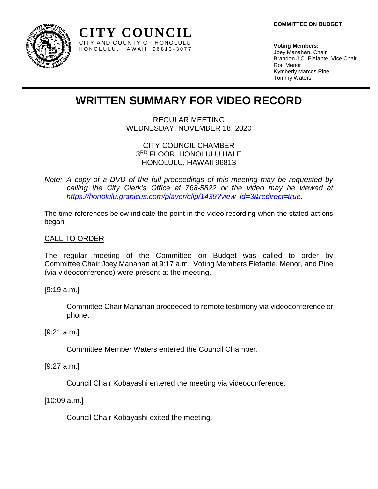

**Voting Members:** Joey Manahan, Chair Brandon J.C. Elefante, Vice Chair Ron Menor Kymberly Marcos Pine Tommy Waters

# **WRITTEN SUMMARY FOR VIDEO RECORD**

**CITY COUNCIL** CITY AND COUNTY OF HONOLULU H O N O L U L U , H A W A I I 9 6 8 1 3 - 3 0 7 7

> REGULAR MEETING WEDNESDAY, NOVEMBER 18, 2020

## CITY COUNCIL CHAMBER 3 RD FLOOR, HONOLULU HALE HONOLULU, HAWAII 96813

*Note: A copy of a DVD of the full proceedings of this meeting may be requested by calling the City Clerk's Office at 768-5822 or the video may be viewed at [https://honolulu.granicus.com/player/clip/1439?view\\_id=3&redirect=true.](https://honolulu.granicus.com/player/clip/1439?view_id=3&redirect=true)*

The time references below indicate the point in the video recording when the stated actions began.

# CALL TO ORDER

The regular meeting of the Committee on Budget was called to order by Committee Chair Joey Manahan at 9:17 a.m. Voting Members Elefante, Menor, and Pine (via videoconference) were present at the meeting.

[9:19 a.m.]

Committee Chair Manahan proceeded to remote testimony via videoconference or phone.

# [9:21 a.m.]

Committee Member Waters entered the Council Chamber.

[9:27 a.m.]

Council Chair Kobayashi entered the meeting via videoconference.

[10:09 a.m.]

Council Chair Kobayashi exited the meeting.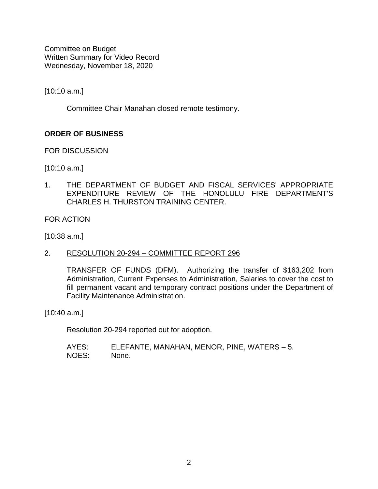[10:10 a.m.]

Committee Chair Manahan closed remote testimony.

# **ORDER OF BUSINESS**

FOR DISCUSSION

[10:10 a.m.]

1. THE DEPARTMENT OF BUDGET AND FISCAL SERVICES' APPROPRIATE EXPENDITURE REVIEW OF THE HONOLULU FIRE DEPARTMENT'S CHARLES H. THURSTON TRAINING CENTER.

FOR ACTION

[10:38 a.m.]

2. RESOLUTION 20-294 – COMMITTEE REPORT 296

TRANSFER OF FUNDS (DFM).Authorizing the transfer of \$163,202 from Administration, Current Expenses to Administration, Salaries to cover the cost to fill permanent vacant and temporary contract positions under the Department of Facility Maintenance Administration.

[10:40 a.m.]

Resolution 20-294 reported out for adoption.

AYES: ELEFANTE, MANAHAN, MENOR, PINE, WATERS – 5. NOES: None.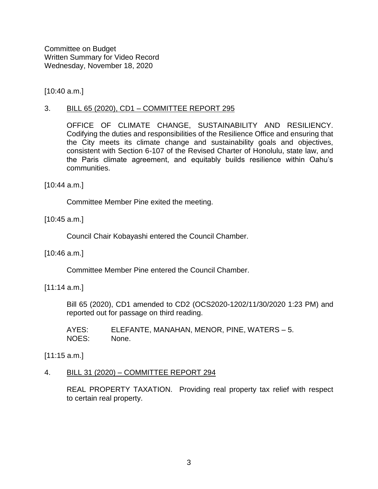[10:40 a.m.]

## 3. BILL 65 (2020), CD1 – COMMITTEE REPORT 295

OFFICE OF CLIMATE CHANGE, SUSTAINABILITY AND RESILIENCY. Codifying the duties and responsibilities of the Resilience Office and ensuring that the City meets its climate change and sustainability goals and objectives, consistent with Section 6-107 of the Revised Charter of Honolulu, state law, and the Paris climate agreement, and equitably builds resilience within Oahu's communities.

[10:44 a.m.]

Committee Member Pine exited the meeting.

[10:45 a.m.]

Council Chair Kobayashi entered the Council Chamber.

[10:46 a.m.]

Committee Member Pine entered the Council Chamber.

[11:14 a.m.]

Bill 65 (2020), CD1 amended to CD2 (OCS2020-1202/11/30/2020 1:23 PM) and reported out for passage on third reading.

AYES: ELEFANTE, MANAHAN, MENOR, PINE, WATERS – 5. NOES: None.

[11:15 a.m.]

#### 4. BILL 31 (2020) – COMMITTEE REPORT 294

REAL PROPERTY TAXATION. Providing real property tax relief with respect to certain real property.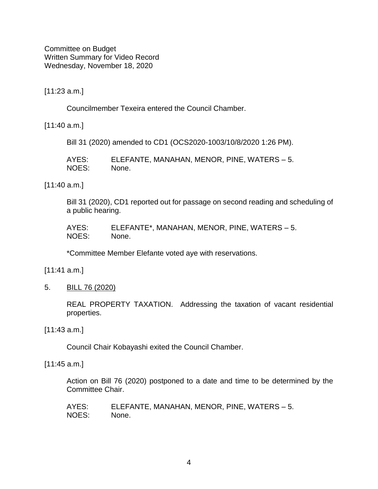[11:23 a.m.]

Councilmember Texeira entered the Council Chamber.

[11:40 a.m.]

Bill 31 (2020) amended to CD1 (OCS2020-1003/10/8/2020 1:26 PM).

| AYES: | ELEFANTE, MANAHAN, MENOR, PINE, WATERS - 5. |
|-------|---------------------------------------------|
| NOES: | None.                                       |

[11:40 a.m.]

Bill 31 (2020), CD1 reported out for passage on second reading and scheduling of a public hearing.

| AYES: | ELEFANTE*, MANAHAN, MENOR, PINE, WATERS - 5. |
|-------|----------------------------------------------|
| NOES: | None.                                        |

\*Committee Member Elefante voted aye with reservations.

[11:41 a.m.]

5. BILL 76 (2020)

REAL PROPERTY TAXATION.Addressing the taxation of vacant residential properties.

[11:43 a.m.]

Council Chair Kobayashi exited the Council Chamber.

[11:45 a.m.]

Action on Bill 76 (2020) postponed to a date and time to be determined by the Committee Chair.

AYES: ELEFANTE, MANAHAN, MENOR, PINE, WATERS – 5. NOES: None.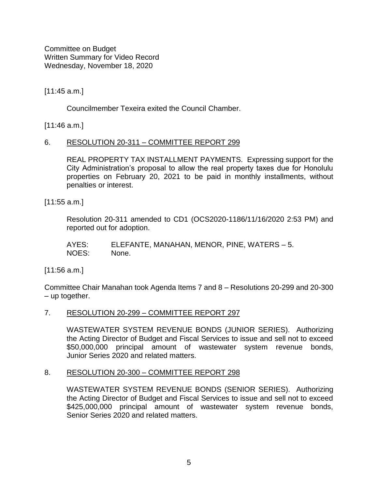[11:45 a.m.]

Councilmember Texeira exited the Council Chamber.

[11:46 a.m.]

## 6. RESOLUTION 20-311 – COMMITTEE REPORT 299

REAL PROPERTY TAX INSTALLMENT PAYMENTS. Expressing support for the City Administration's proposal to allow the real property taxes due for Honolulu properties on February 20, 2021 to be paid in monthly installments, without penalties or interest.

[11:55 a.m.]

Resolution 20-311 amended to CD1 (OCS2020-1186/11/16/2020 2:53 PM) and reported out for adoption.

AYES: ELEFANTE, MANAHAN, MENOR, PINE, WATERS – 5. NOES: None.

[11:56 a.m.]

Committee Chair Manahan took Agenda Items 7 and 8 – Resolutions 20-299 and 20-300 – up together.

#### 7. RESOLUTION 20-299 - COMMITTEE REPORT 297

WASTEWATER SYSTEM REVENUE BONDS (JUNIOR SERIES). Authorizing the Acting Director of Budget and Fiscal Services to issue and sell not to exceed \$50,000,000 principal amount of wastewater system revenue bonds, Junior Series 2020 and related matters.

#### 8. RESOLUTION 20-300 – COMMITTEE REPORT 298

WASTEWATER SYSTEM REVENUE BONDS (SENIOR SERIES).Authorizing the Acting Director of Budget and Fiscal Services to issue and sell not to exceed \$425,000,000 principal amount of wastewater system revenue bonds, Senior Series 2020 and related matters.